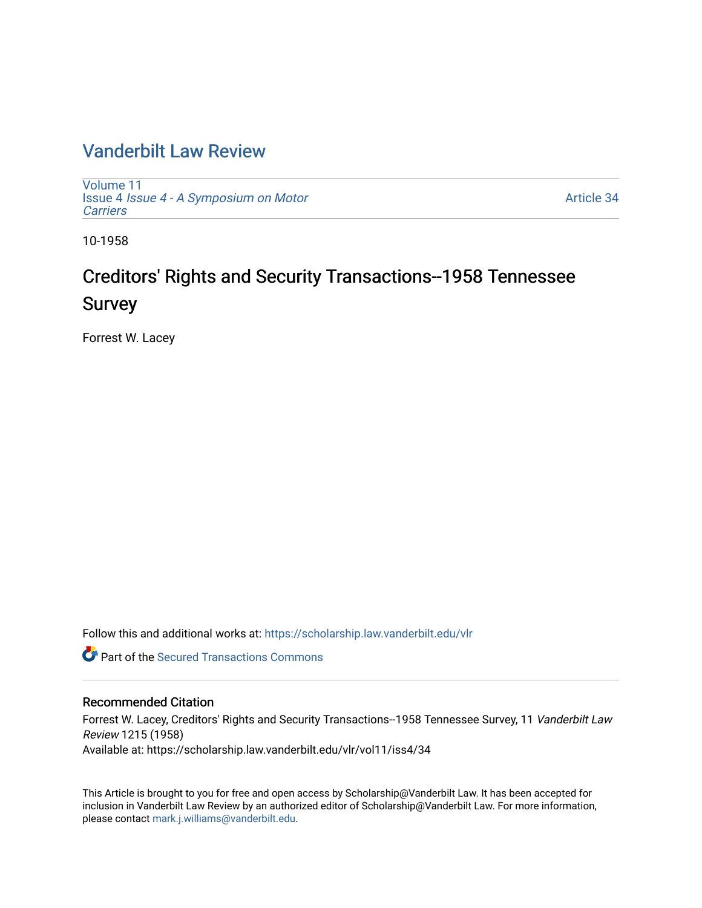## [Vanderbilt Law Review](https://scholarship.law.vanderbilt.edu/vlr)

[Volume 11](https://scholarship.law.vanderbilt.edu/vlr/vol11) Issue 4 [Issue 4 - A Symposium on Motor](https://scholarship.law.vanderbilt.edu/vlr/vol11/iss4) **[Carriers](https://scholarship.law.vanderbilt.edu/vlr/vol11/iss4)** 

[Article 34](https://scholarship.law.vanderbilt.edu/vlr/vol11/iss4/34) 

10-1958

# Creditors' Rights and Security Transactions--1958 Tennessee Survey

Forrest W. Lacey

Follow this and additional works at: [https://scholarship.law.vanderbilt.edu/vlr](https://scholarship.law.vanderbilt.edu/vlr?utm_source=scholarship.law.vanderbilt.edu%2Fvlr%2Fvol11%2Fiss4%2F34&utm_medium=PDF&utm_campaign=PDFCoverPages)

Part of the [Secured Transactions Commons](http://network.bepress.com/hgg/discipline/876?utm_source=scholarship.law.vanderbilt.edu%2Fvlr%2Fvol11%2Fiss4%2F34&utm_medium=PDF&utm_campaign=PDFCoverPages)

#### Recommended Citation

Forrest W. Lacey, Creditors' Rights and Security Transactions--1958 Tennessee Survey, 11 Vanderbilt Law Review 1215 (1958) Available at: https://scholarship.law.vanderbilt.edu/vlr/vol11/iss4/34

This Article is brought to you for free and open access by Scholarship@Vanderbilt Law. It has been accepted for inclusion in Vanderbilt Law Review by an authorized editor of Scholarship@Vanderbilt Law. For more information, please contact [mark.j.williams@vanderbilt.edu.](mailto:mark.j.williams@vanderbilt.edu)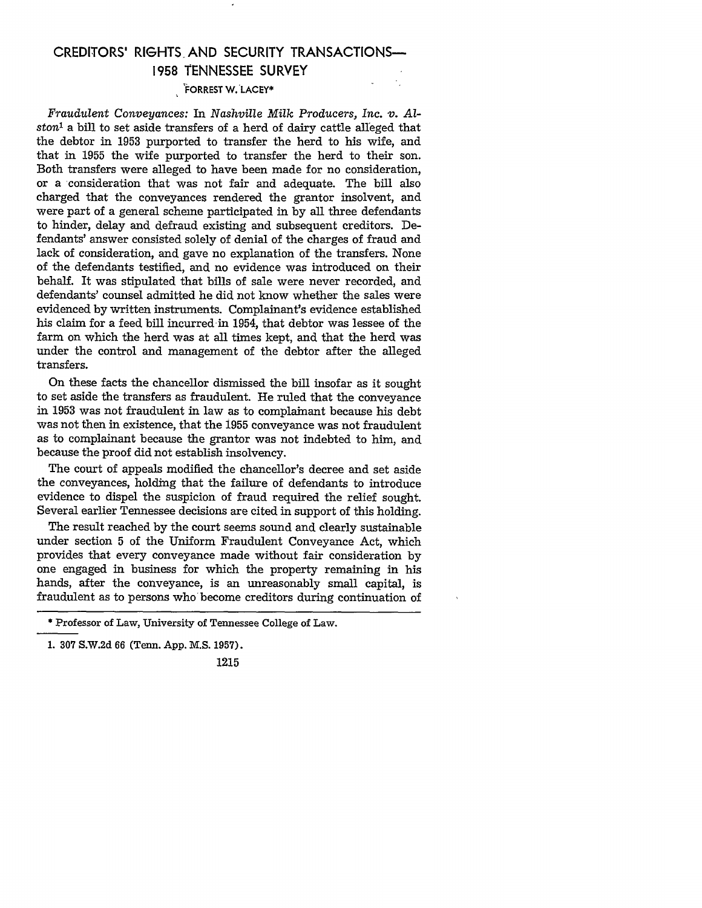### CREDITORS' **RIGHTS AND** SECURITY **TRANSACTIONS-1958 TENNESSEE** SURVEY

#### **FORREST** W. LACEY\*

*Fraudulent Conveyances:* In *Nashville Milk* Producers, *Inc.* v. *Al*ston' a bill to set aside transfers of a herd of dairy cattle alleged that the debtor in 1953 purported to transfer the herd to his wife, and that in 1955 the wife purported to transfer the herd to their son. Both transfers were alleged to have been made for no consideration, or a consideration that was not fair and adequate. The bill also charged that the conveyances rendered the grantor insolvent, and were part of a general scheme participated in by all three defendants to hinder, delay and defraud existing and subsequent creditors. Defendants' answer consisted solely of denial of the charges of fraud and lack of consideration, and gave no explanation of the transfers. None of the defendants testified, and no evidence was introduced on their behalf. It was stipulated that bills of sale were never recorded, and defendants' counsel admitted he did not know whether the sales were evidenced by written instruments. Complainant's evidence established his claim for a feed bill incurred in 1954, that debtor was lessee of the farm on which the herd was at all times kept, and that the herd was under the control and management of the debtor after the alleged transfers.

On these facts the chancellor dismissed the bill insofar as it sought to set aside the transfers as fraudulent. He ruled that the conveyance in 1953 was not fraudulent in law as to complainant because his debt was not then in existence, that the 1955 conveyance was not fraudulent as to complainant because the grantor was not indebted to him, and because the proof did not establish insolvency.

The court of appeals modified the chancellor's decree and set aside the conveyances, holding that the failure of defendants to introduce evidence to dispel the suspicion of fraud required the relief sought. Several earlier Tennessee decisions are cited in support of this holding.

The result reached by the court seems sound and clearly sustainable under section 5 of the Uniform Fraudulent Conveyance Act, which provides that every conveyance made without fair consideration by one engaged in business for which the property remaining in his hands, after the conveyance, is an unreasonably small capital, is fraudulent as to persons who become creditors during continuation of

<sup>\*</sup> Professor of Law, University of Tennessee College of Law.

<sup>1. 307</sup> S.W.2d 66 (Tenn. App. M.S. 1957).

<sup>1215</sup>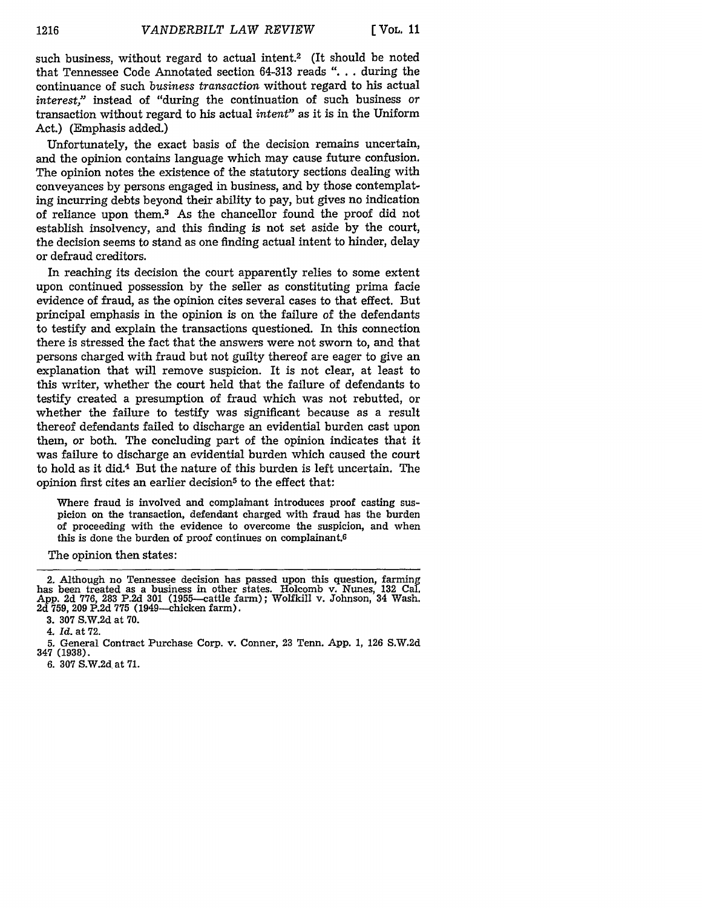such business, without regard to actual intent.<sup>2</sup> (It should be noted that Tennessee Code Annotated section 64-313 reads ". **.** . during the continuance of such *business transaction* without regard to his actual *interest,"* instead of "during the continuation of such business or transaction without regard to his actual *intent"* as it is in the Uniform Act.) (Emphasis added.)

Unfortunately, the exact basis of the decision remains uncertain, and the opinion contains language which may cause future confusion. The opinion notes the existence of the statutory sections dealing with conveyances by persons engaged in business, and by those contemplating incurring debts beyond their ability to pay, but gives no indication of reliance upon them.3 As the chancellor found the proof did not establish insolvency, and this finding is not set aside by the court, the decision seems to stand as one finding actual intent to hinder, delay or defraud creditors.

In reaching its decision the court apparently relies to some extent upon continued possession by the seller as constituting prima facie evidence of fraud, as the opinion cites several cases to that effect. But principal emphasis in the opinion is on the failure of the defendants to testify and explain the transactions questioned. In this connection there is stressed the fact that the answers were not sworn to, and that persons charged with fraud but not guilty thereof are eager to give an explanation that will remove suspicion. It is not clear, at least to this writer, whether the court held that the failure of defendants to testify created a presumption of fraud which was not rebutted, or whether the failure to testify was significant because as a result thereof defendants failed to discharge an evidential burden cast upon them, or both. The concluding part of the opinion indicates that it was failure to discharge an evidential burden which caused the court to hold as it did.4 But the nature of this burden is left uncertain. The opinion first cites an earlier decision<sup>5</sup> to the effect that:

Where fraud is involved and complainant introduces proof casting suspicion on the transaction, defendant charged with fraud has the burden of proceeding with the evidence to overcome the suspicion, and when this is done the burden of proof continues on complainant.<sup>6</sup>

The opinion then states:

<sup>2.</sup> Although no Tennessee decision has passed upon this question, farming has been treated as a business in other states. Holcomb v. Nunes, **132** Cal. App. 2d 776, 283 P.2d 301 (1955-cattle farm); Wolfkill v. Johnson, 34 Wash. 2d 759, 209 P.2d **775** (1949-chicken farm).

**<sup>3. 307</sup>** S.W.2d at **70.**

*<sup>4.</sup> Id.* at 72.

**<sup>5.</sup>** General Contract Purchase Corp. v. Conner, 23 Tenn. App. 1, 126 S.W.2d 347 (1938).

<sup>6. 307</sup> S.W.2d at 71.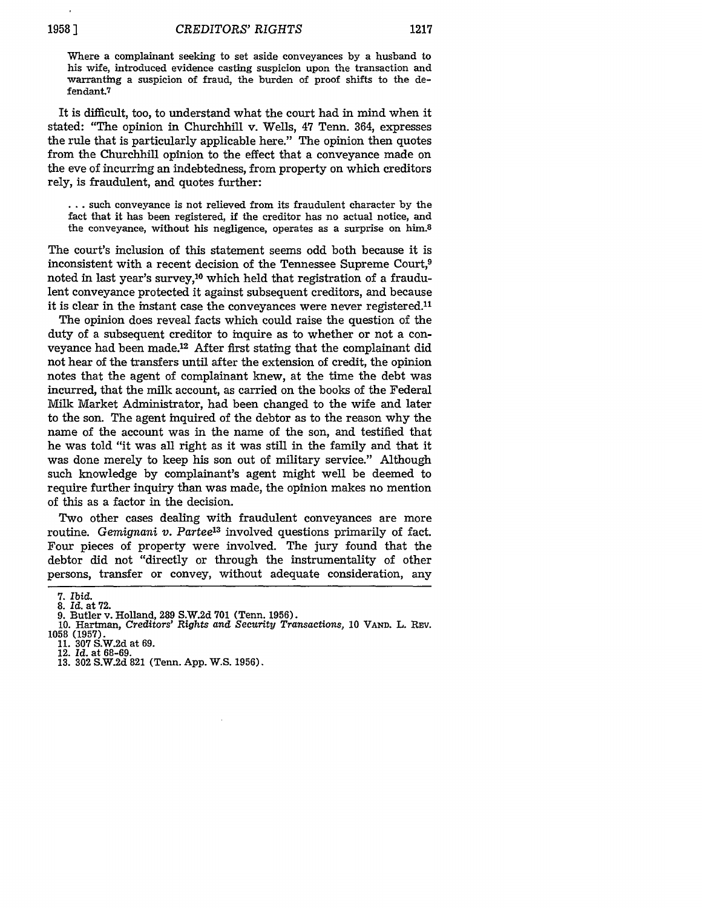Where a complainant seeking to set aside conveyances by a husband to his wife, introduced evidence casting suspicion upon the transaction and warranting a suspicion of fraud, the burden of proof shifts to the defendant.7

It is difficult, too, to understand what the court had in mind when it stated: "The opinion in Churchhill v. Wells, 47 Tenn. 364, expresses the rule that is particularly applicable here." The opinion then quotes from the Churchhill opinion to the effect that a conveyance made on the eve of incurring an indebtedness, from property on which creditors rely, is fraudulent, and quotes further:

**...**such conveyance is not relieved from its fraudulent character by the fact that it has been registered, if the creditor has no actual notice, and the conveyance, without his negligence, operates as a surprise on him.8

The court's inclusion of this statement seems odd both because it is inconsistent with a recent decision of the Tennessee Supreme Court,9 noted in last year's survey,<sup>10</sup> which held that registration of a fraudulent conveyance protected it against subsequent creditors, and because it is clear in the instant case the conveyances were never registered.<sup>11</sup>

The opinion does reveal facts which could raise the question of the duty of a subsequent creditor to inquire as to whether or not a conveyance had been made.12 After first stating that the complainant did not hear of the transfers until after the extension of credit, the opinion notes that the agent of complainant knew, at the time the debt was incurred, that the milk account, as carried on the books of the Federal Milk Market Administrator, had been changed to the wife and later to the son. The agent inquired of the debtor as to the reason why the name of the account was in the name of the son, and testified that he was told "it was all right as it was still in the family and that it was done merely to keep his son out of military service." Although such knowledge by complainant's agent might well be deemed to require further inquiry than was made, the opinion makes no mention of this as a factor in the decision.

Two other cases dealing with fraudulent conveyances are more routine. *Gemignani v. Partee13* involved questions primarily of fact. Four pieces of property were involved. The jury found that the debtor did not "directly or through the instrumentality of other persons, transfer or convey, without adequate consideration, any

12. **Id.** at **68-69.**

**<sup>7.</sup>** *Ibid.*

**<sup>8.</sup>** *Id.* at **72.**

<sup>10.</sup> Hartman, *Creditors' Rights and Security Transactions*, 10 VAND. L. REV. 1058 (1957).

<sup>11. 307</sup> S.W.2d at 69.

<sup>13. 302</sup> S.W.2d 821 (Tenn. App. W.S. 1956).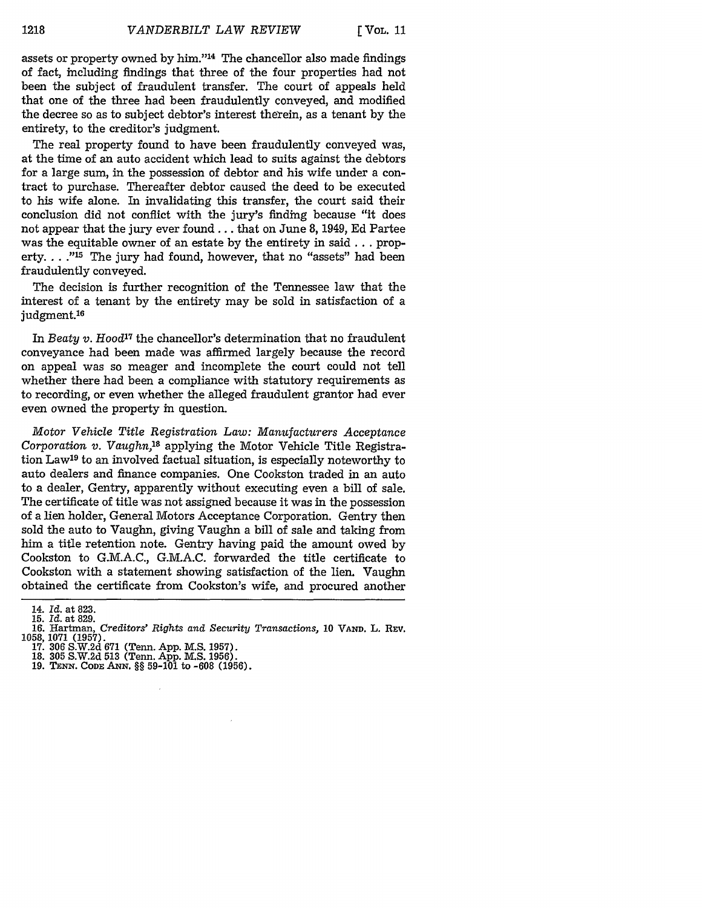assets or property owned by him."<sup>14</sup> The chancellor also made findings of fact, including findings that three of the four properties had not been the subject of fraudulent transfer. The court of appeals held that one of the three had been fraudulently conveyed, and modified the decree so as to subject debtor's interest therein, as a tenant by the entirety, to the creditor's judgment.

The real property found to have been fraudulently conveyed was, at the time of an auto accident which lead to suits against the debtors for a large sum, in the possession of debtor and his wife under a contract to purchase. Thereafter debtor caused the deed to be executed to his wife alone. In invalidating this transfer, the court said their conclusion did not conflict with the jury's finding because "it does not appear that the jury ever found... that on June 8, 1949, Ed Partee was the equitable owner of an estate by the entirety in said **...** property. . . .<sup>115</sup> The jury had found, however, that no "assets" had been fraudulently conveyed.

The decision is further recognition of the Tennessee law that the interest of a tenant by the entirety may be sold in satisfaction of a judgment. <sup>16</sup>

In *Beaty v. Hood<sup>17</sup>* the chancellor's determination that no fraudulent conveyance had been made was affirmed largely because the record on appeal was so meager and incomplete the court could not tell whether there had been a compliance with statutory requirements as to recording, or even whether the alleged fraudulent grantor had ever even owned the property in question.

*Motor Vehicle Title Registration Law: Manufacturers Acceptance Corporation v. Vaughn,18* applying the Motor Vehicle Title Registration Law19 to an involved factual situation, is especially noteworthy to auto dealers and finance companies. One Cookston traded in an auto to a dealer, Gentry, apparently without executing even a bill of sale. The certificate of title was not assigned because it was in the possession of a lien holder, General Motors Acceptance Corporation. Gentry then sold the auto to Vaughn, giving Vaughn a bill of sale and taking from him a title retention note. Gentry having paid the amount owed by Cookston to G.M.A.C., G.M.A.C. forwarded the title certificate to Cookston with a statement showing satisfaction of the lien. Vaughn obtained the certificate from Cookston's wife, and procured another

<sup>14.</sup> *Id.* at **823.**

**<sup>15.</sup>** *Id.* at 829.

**<sup>16.</sup>** Hartman, *Creditors' Rights and Security Transactions,* **10 VAND. L. REV. 1058, 1071 (1957).**

**<sup>17. 306</sup> S.W.2d 671** (Tenn. **App. M.S. 1957).**

**<sup>18. 305</sup> S.W.2d 513** (Tenn. App. M.S. 1956). **19. TENN. CODE ANN. §§ 59-101** to **-608 (1956).**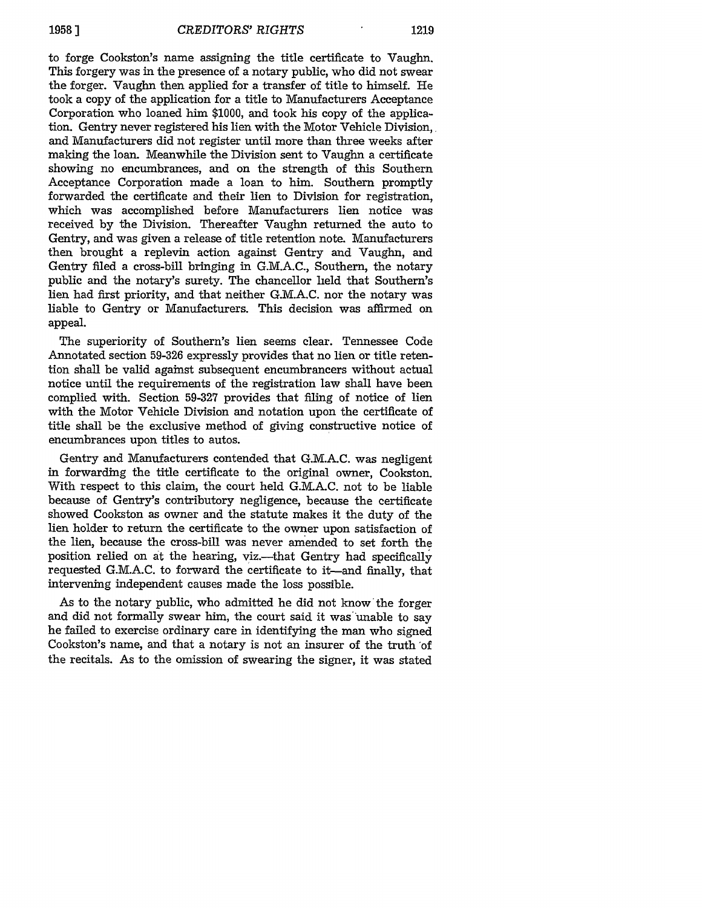to forge Cookston's name assigning the title certificate to Vaughn. This forgery was in the presence of a notary public, who did not swear the forger. Vaughn then applied for a transfer of title to himself. He took a copy of the application for a title to Manufacturers Acceptance Corporation who loaned him \$1000, and took his copy of the application. Gentry never registered his lien with the Motor Vehicle Division, and Manufacturers did not register until more than three weeks after making the loan. Meanwhile the Division sent to Vaughn a certificate showing no encumbrances, and on the strength of this Southern Acceptance Corporation made a loan to him. Southern promptly forwarded the certificate and their lien to Division for registration, which was accomplished before Manufacturers lien notice was received by the Division. Thereafter Vaughn returned the auto to Gentry, and was given a release of title retention note. Manufacturers then brought a replevin action against Gentry and Vaughn, and Gentry filed a cross-bill bringing in G.M.A.C., Southern, the notary public and the notary's surety. The chancellor held that Southern's lien had first priority, and that neither G.M.A.C. nor the notary was liable to Gentry or Manufacturers. This decision was affirmed on appeal.

The superiority of Southern's lien seems clear. Tennessee Code Annotated section 59-326 expressly provides that no lien or title retention shall be valid against subsequent encumbrancers without actual notice until the requirements of the registration law shall have been complied with. Section 59-327 provides that filing of notice of lien with the Motor Vehicle Division and notation upon the certificate of title shall be the exclusive method of giving constructive notice of encumbrances upon titles to autos.

Gentry and Manufacturers contended that G.M.A.C. was negligent in forwarding the title certificate to the original owner, Cookston. With respect to this claim, the court held G.M.A.C. not to be liable because of Gentry's contributory negligence, because the certificate showed Cookston as owner and the statute makes it the duty of the lien holder to return the certificate to the owner upon satisfaction of the lien, because the cross-bill was never amended to set forth the position relied on at the hearing, viz.—that Gentry had specifically requested G.M.A.C. to forward the certificate to it—and finally, that intervening independent causes made the loss possible.

As to the notary public, who admitted he did not know the forger and did not formally swear him, the court said it was"unable to say he failed to exercise ordinary care in identifying the man who signed Cookston's name, and that a notary is not an insurer of the truth of the recitals. As to the omission of swearing the signer, it was stated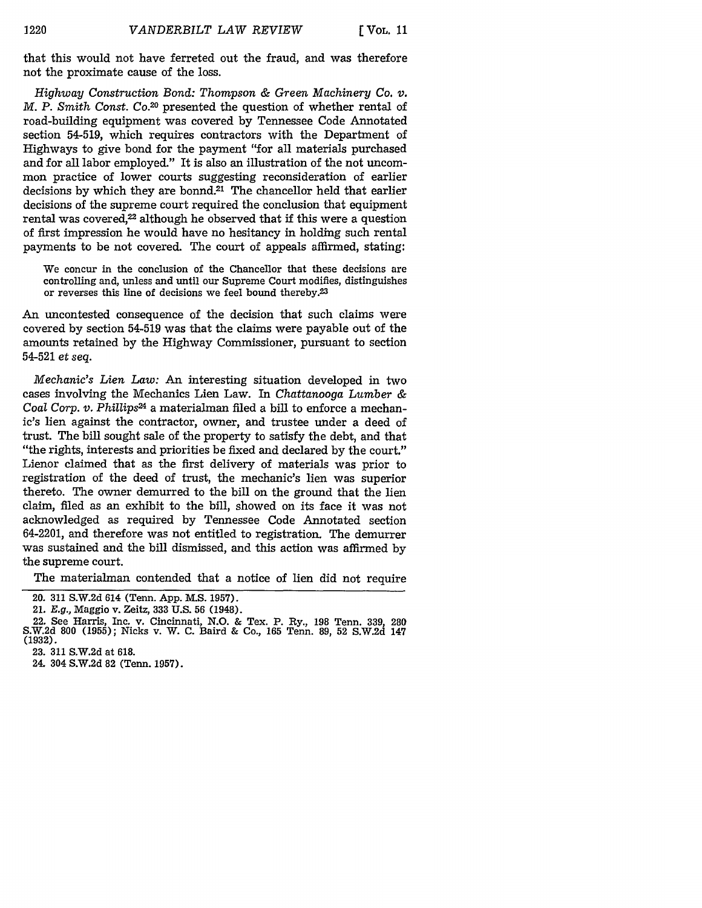that this would not have ferreted out the fraud, and was therefore not the proximate cause of the loss.

*Highway Construction Bond: Thompson & Green Machinery Co. v. M. P. Smith Const. Co.20* presented the question of whether rental of road-building equipment was covered by Tennessee Code Annotated section 54-519, which requires contractors with the Department of Highways to give bond for the payment "for all materials purchased and for all labor employed." It is also an illustration of the not uncommon practice of lower courts suggesting reconsideration of earlier decisions by which they are bonnd.<sup>21</sup> The chancellor held that earlier decisions of the supreme court required the conclusion that equipment rental was covered,<sup>22</sup> although he observed that if this were a question of first impression he would have no hesitancy in holding such rental payments to be not covered. The court of appeals affirmed, stating:

We concur in the conclusion of the Chancellor that these decisions are controlling and, unless and until our Supreme Court modifies, distinguishes or reverses this line of decisions we feel bound thereby.23

An uncontested consequence of the decision that such claims were covered by section 54-519 was that the claims were payable out of the amounts retained by the Highway Commissioner, pursuant to section 54-521 *et seq.*

*Mechanic's Lien Law:* An interesting situation developed in two cases involving the Mechanics Lien Law. In *Chattanooga Lumber & Coal Corp. v. Phillips24* a materialman filed a bill to enforce a mechanic's lien against the contractor, owner, and trustee under a deed of trust. The bill sought sale of the property to satisfy the debt, and that "the rights, interests and priorities be fixed and declared by the court." Lienor claimed that as the first delivery of materials was prior to registration of the deed of trust, the mechanic's lien was superior thereto. The owner demurred to the bill on the ground that the lien claim, filed as an exhibit to the bill, showed on its face it was not acknowledged as required by Tennessee Code Annotated section 64-2201, and therefore was not entitled to registration. The demurrer was sustained and the bill dismissed, and this action was affirmed by the supreme court.

The materialman contended that a notice of lien did not require

24. **304 S.W.2d 82** (Tenn. **1957).**

<sup>20. 311</sup> S.W.2d 614 (Tenn. App. M.S. 1957).

<sup>21.</sup> **E.g.,** Maggio v. Zeitz, **333** U.S. 56 (1948).

<sup>22.</sup> **See Harris,** Inc. **v.** Cincinnati, **N.O. & Tex. P. Ry., 198 Tenn. 339,** 280 **S.W.2d 800 (1955);** Nicks v. W. **C.** Baird **&** Co., **165** Tenn. **89, 52 S.W.2d** 147 **(1932).**

**<sup>23. 311</sup> S.W.2d** at **618.**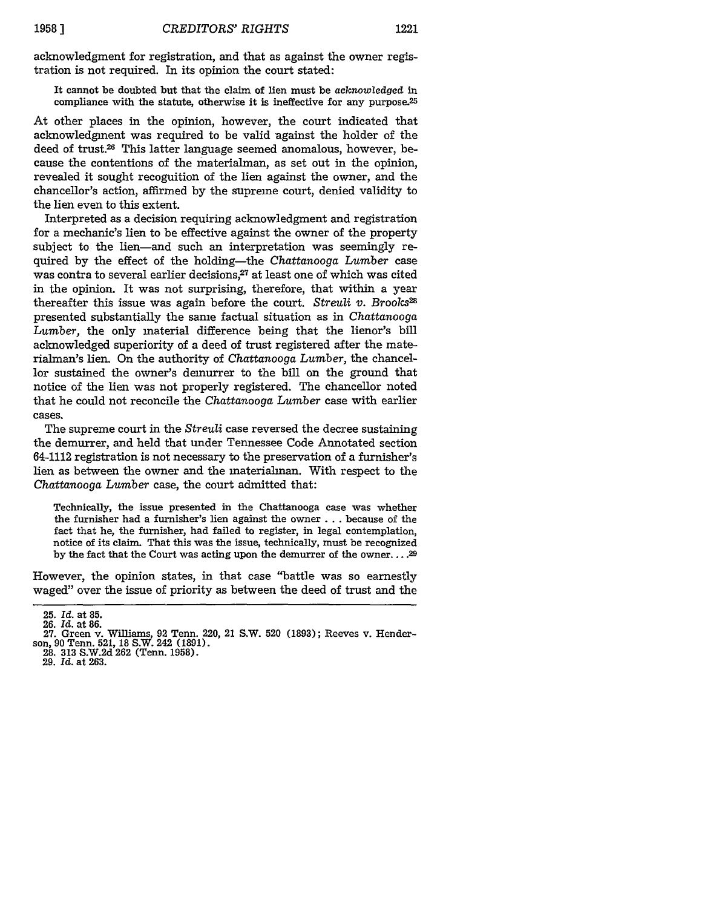acknowledgment for registration, and that as against the owner registration is not required. In its opinion the court stated:

It cannot be doubted but that the claim of lien must be acknowledged in compliance with the statute, otherwise it is ineffective for any purpose.25

At other places in the opinion, however, the court indicated that acknowledgment was required to be valid against the holder of the deed of trust.26 This latter language seemed anomalous, however, because the contentions of the materialman, as set out in the opinion, revealed it sought recognition of the lien against the owner, and the chancellor's action, affirmed by the supreme court, denied validity to the lien even to this extent.

Interpreted as a decision requiring acknowledgment and registration for a mechanic's lien to be effective against the owner of the property subject to the lien-and such an interpretation was seemingly required by the effect of the holding-the *Chattanooga Lumber* case was contra to several earlier decisions,<sup>27</sup> at least one of which was cited in the opinion. It was not surprising, therefore, that within a year thereafter this issue was again before the court. *Streuli v. Brooks2 8* presented substantially the same factual situation as in *Chattanooga Lumber,* the only material difference being that the lienor's bill acknowledged superiority of a deed of trust registered after the materialman's lien. On the authority of *Chattanooga Lumber,* the chancellor sustained the owner's demurrer to the bill on the ground that notice of the lien was not properly registered. The chancellor noted that he could not reconcile the *Chattanooga Lumber* case with earlier cases.

The supreme court in the *Streuli* case reversed the decree sustaining the demurrer, and held that under Tennessee Code Annotated section 64-1112 registration is not necessary to the preservation of a furnisher's lien as between the owner and the materialman. With respect to the *Chattanooga Lumber* case, the court admitted that:

Technically, the issue presented in the Chattanooga case was whether the furnisher had a furnisher's lien against the owner **...** because of the fact that he, the furnisher, had failed to register, in legal contemplation, notice of its claim. That this was the issue, technically, must be recognized by the fact that the Court was acting upon the demurrer of the owner .... **29**

However, the opinion states, in that case "battle was so earnestly waged" over the issue of priority as between the deed of trust and the

28. **313** S.W.2d 262 (Tenn. 1958). **29. Id.** at **263.**

<sup>25.</sup> *Id.* at 85. 26. Id. at 86.

<sup>27.</sup> Green v. Williams, 92 Tenn. 220, 21 S.W. 520 (1893); Reeves v. Hender-son, 90 Tenn. 521, 18 S.W. 242 (1891).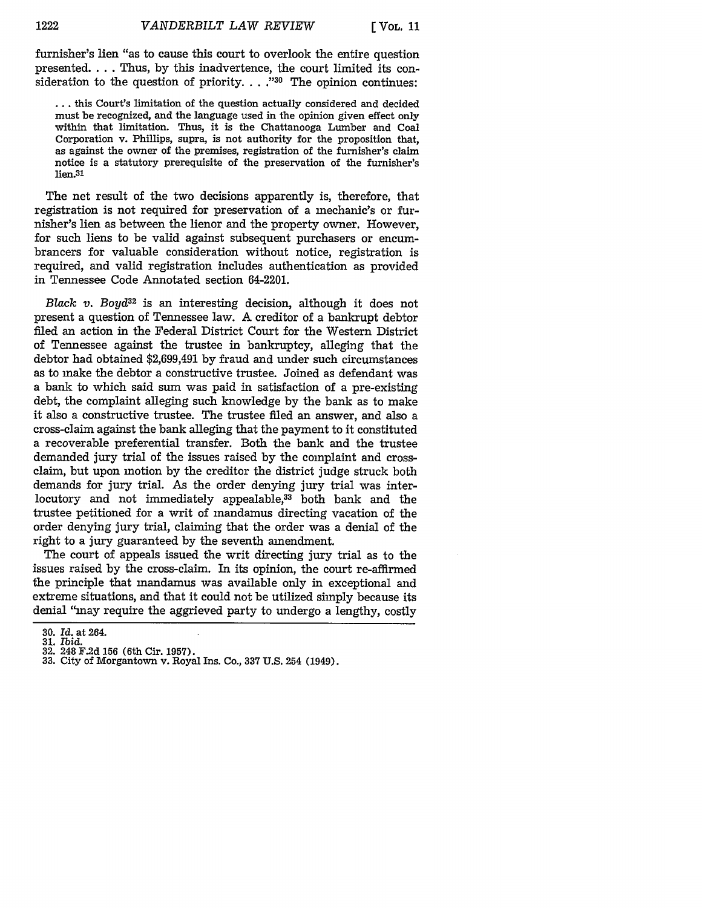furnisher's lien "as to cause this court to overlook the entire question presented.... Thus, by this inadvertence, the court limited its consideration to the question of priority. . . .<sup>"30</sup> The opinion continues:

**...** this Court's limitation of the question actually considered and decided must be recognized, and the language used in the opinion given effect only within that limitation. Thus, it is the Chattanooga Lumber and Coal Corporation v. Phillips, supra, is not authority for the proposition that, as against the owner of the premises, registration of the furnisher's claim notice is a statutory prerequisite of the preservation of the furnisher's lien.31

The net result of the two decisions apparently is, therefore, that registration is not required for preservation of a mechanic's or furnisher's lien as between the lienor and the property owner. However, for such liens to be valid against subsequent purchasers or encumbrancers for valuable consideration without notice, registration is required, and valid registration includes authentication as provided in Tennessee Code Annotated section 64-2201.

*Black v. Boyd*<sup>32</sup> is an interesting decision, although it does not present a question of Tennessee law. **A** creditor of a bankrupt debtor filed an action in the Federal District Court for the Western District of Tennessee against the trustee in bankruptcy, alleging that the debtor had obtained **\$2,699,491 by** fraud and under such circumstances as to make the debtor a constructive trustee. Joined as defendant was a bank to which said sum was paid in satisfaction of a pre-existing debt, the complaint alleging such knowledge **by** the bank as to make it also a constructive trustee. The trustee filed an answer, and also a cross-claim against the bank alleging that the payment to it constituted a recoverable preferential transfer. Both the bank and the trustee demanded jury trial of the issues raised **by** the complaint and crossclaim, but upon motion **by** the creditor the district judge struck both demands for jury trial. As the order denying jury trial was interlocutory and not immediately appealable,<sup>33</sup> both bank and the trustee petitioned for a writ of mandamus directing vacation of the order denying jury trial, claiming that the order was a denial of the right to a jury guaranteed **by** the seventh amendment.

The court of appeals issued the writ directing jury trial as to the issues raised **by** the cross-claim. In its opinion, the court re-affirmed the principle that mandamus was available only in exceptional and extreme situations, and that it could not be utilized simply because its denial "may require the aggrieved party to undergo a lengthy, costly

**<sup>30.</sup> Id. at 264.**

**<sup>31.</sup>** *Ibid.*<br>32. 248 F.2d 156 (6th Cir. 1957).

**<sup>32.</sup>** 248 **F.2d 156** (6th Cir. **1957). 33.** City of Morgantown v. Royal Ins. Co., **337 U.S.** 254 (1949).